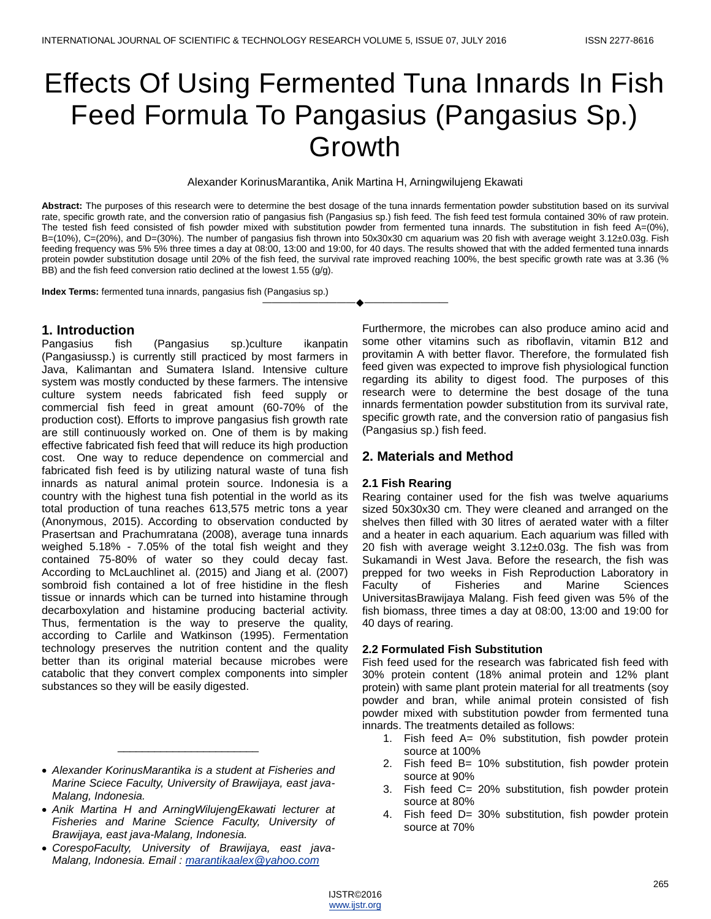# Effects Of Using Fermented Tuna Innards In Fish Feed Formula To Pangasius (Pangasius Sp.) Growth

Alexander KorinusMarantika, Anik Martina H, Arningwilujeng Ekawati

**Abstract:** The purposes of this research were to determine the best dosage of the tuna innards fermentation powder substitution based on its survival rate, specific growth rate, and the conversion ratio of pangasius fish (Pangasius sp.) fish feed. The fish feed test formula contained 30% of raw protein. The tested fish feed consisted of fish powder mixed with substitution powder from fermented tuna innards. The substitution in fish feed A=(0%), B=(10%), C=(20%), and D=(30%). The number of pangasius fish thrown into 50x30x30 cm aquarium was 20 fish with average weight 3.12±0.03g. Fish feeding frequency was 5% 5% three times a day at 08:00, 13:00 and 19:00, for 40 days. The results showed that with the added fermented tuna innards protein powder substitution dosage until 20% of the fish feed, the survival rate improved reaching 100%, the best specific growth rate was at 3.36 (% BB) and the fish feed conversion ratio declined at the lowest 1.55 (g/g).

———————————————————

**Index Terms:** fermented tuna innards, pangasius fish (Pangasius sp.)

# **1. Introduction**

Pangasius fish (Pangasius sp.)culture ikanpatin (Pangasiussp.) is currently still practiced by most farmers in Java, Kalimantan and Sumatera Island. Intensive culture system was mostly conducted by these farmers. The intensive culture system needs fabricated fish feed supply or commercial fish feed in great amount (60-70% of the production cost). Efforts to improve pangasius fish growth rate are still continuously worked on. One of them is by making effective fabricated fish feed that will reduce its high production cost. One way to reduce dependence on commercial and fabricated fish feed is by utilizing natural waste of tuna fish innards as natural animal protein source. Indonesia is a country with the highest tuna fish potential in the world as its total production of tuna reaches 613,575 metric tons a year (Anonymous, 2015). According to observation conducted by Prasertsan and Prachumratana (2008), average tuna innards weighed 5.18% - 7.05% of the total fish weight and they contained 75-80% of water so they could decay fast. According to McLauchlinet al. (2015) and Jiang et al. (2007) sombroid fish contained a lot of free histidine in the flesh tissue or innards which can be turned into histamine through decarboxylation and histamine producing bacterial activity. Thus, fermentation is the way to preserve the quality, according to Carlile and Watkinson (1995). Fermentation technology preserves the nutrition content and the quality better than its original material because microbes were catabolic that they convert complex components into simpler substances so they will be easily digested.

 *Alexander KorinusMarantika is a student at Fisheries and Marine Sciece Faculty, University of Brawijaya, east java-Malang, Indonesia.*

\_\_\_\_\_\_\_\_\_\_\_\_\_\_\_\_\_\_\_\_\_\_\_

- *Anik Martina H and ArningWilujengEkawati lecturer at Fisheries and Marine Science Faculty, University of Brawijaya, east java-Malang, Indonesia.*
- *CorespoFaculty, University of Brawijaya, east java-Malang, Indonesia. Email [: marantikaalex@yahoo.com](mailto:marantikaalex@yahoo.com)*

Furthermore, the microbes can also produce amino acid and some other vitamins such as riboflavin, vitamin B12 and provitamin A with better flavor. Therefore, the formulated fish feed given was expected to improve fish physiological function regarding its ability to digest food. The purposes of this research were to determine the best dosage of the tuna innards fermentation powder substitution from its survival rate, specific growth rate, and the conversion ratio of pangasius fish (Pangasius sp.) fish feed.

# **2. Materials and Method**

#### **2.1 Fish Rearing**

Rearing container used for the fish was twelve aquariums sized 50x30x30 cm. They were cleaned and arranged on the shelves then filled with 30 litres of aerated water with a filter and a heater in each aquarium. Each aquarium was filled with 20 fish with average weight  $3.12\pm0.03$ g. The fish was from Sukamandi in West Java. Before the research, the fish was prepped for two weeks in Fish Reproduction Laboratory in<br>Faculty of Fisheries and Marine Sciences of Fisheries and Marine Sciences UniversitasBrawijaya Malang. Fish feed given was 5% of the fish biomass, three times a day at 08:00, 13:00 and 19:00 for 40 days of rearing.

#### **2.2 Formulated Fish Substitution**

Fish feed used for the research was fabricated fish feed with 30% protein content (18% animal protein and 12% plant protein) with same plant protein material for all treatments (soy powder and bran, while animal protein consisted of fish powder mixed with substitution powder from fermented tuna innards. The treatments detailed as follows:

- 1. Fish feed A= 0% substitution, fish powder protein source at 100%
- 2. Fish feed B= 10% substitution, fish powder protein source at 90%
- 3. Fish feed C= 20% substitution, fish powder protein source at 80%
- 4. Fish feed D= 30% substitution, fish powder protein source at 70%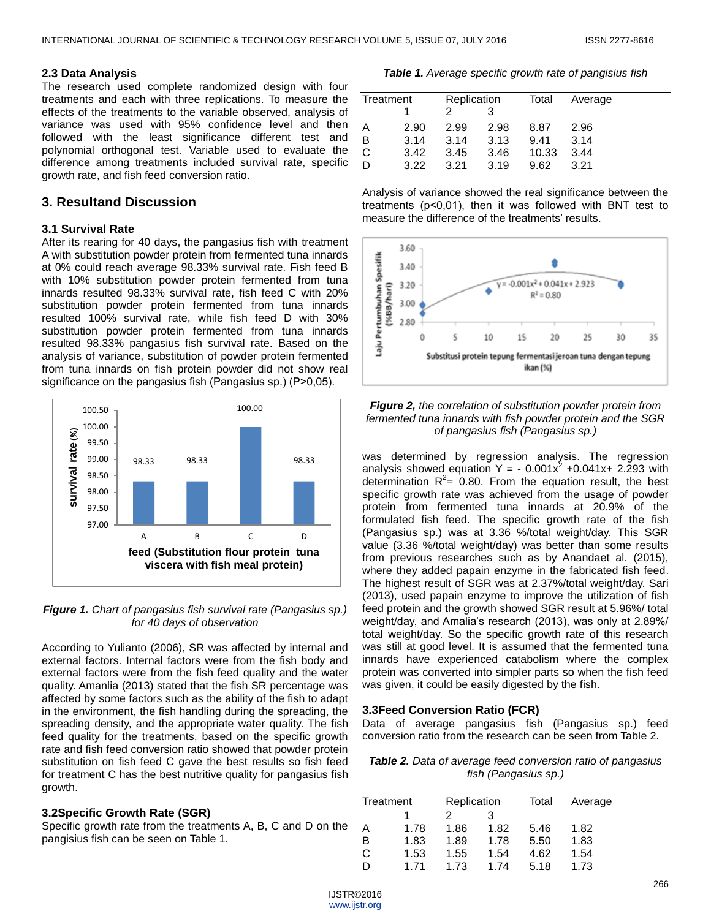### **2.3 Data Analysis**

The research used complete randomized design with four treatments and each with three replications. To measure the effects of the treatments to the variable observed, analysis of variance was used with 95% confidence level and then followed with the least significance different test and polynomial orthogonal test. Variable used to evaluate the difference among treatments included survival rate, specific growth rate, and fish feed conversion ratio.

# **3. Resultand Discussion**

## **3.1 Survival Rate**

After its rearing for 40 days, the pangasius fish with treatment A with substitution powder protein from fermented tuna innards at 0% could reach average 98.33% survival rate. Fish feed B with 10% substitution powder protein fermented from tuna innards resulted 98.33% survival rate, fish feed C with 20% substitution powder protein fermented from tuna innards resulted 100% survival rate, while fish feed D with 30% substitution powder protein fermented from tuna innards resulted 98.33% pangasius fish survival rate. Based on the analysis of variance, substitution of powder protein fermented from tuna innards on fish protein powder did not show real significance on the pangasius fish (Pangasius sp.) (P>0,05).



*Figure 1. Chart of pangasius fish survival rate (Pangasius sp.) for 40 days of observation*

According to Yulianto (2006), SR was affected by internal and external factors. Internal factors were from the fish body and external factors were from the fish feed quality and the water quality. Amanlia (2013) stated that the fish SR percentage was affected by some factors such as the ability of the fish to adapt in the environment, the fish handling during the spreading, the spreading density, and the appropriate water quality. The fish feed quality for the treatments, based on the specific growth rate and fish feed conversion ratio showed that powder protein substitution on fish feed C gave the best results so fish feed for treatment C has the best nutritive quality for pangasius fish growth.

## **3.2Specific Growth Rate (SGR)**

Specific growth rate from the treatments A, B, C and D on the pangisius fish can be seen on Table 1.

*Table 1. Average specific growth rate of pangisius fish*

| Treatment |      | Replication |      | Total | Average |
|-----------|------|-------------|------|-------|---------|
|           |      |             |      |       |         |
| A         | 2.90 | 2.99        | 2.98 | 8.87  | 2.96    |
| B         | 3.14 | 3.14        | 3.13 | 9.41  | 3.14    |
| C         | 3.42 | 3.45        | 3.46 | 10.33 | 3.44    |
| D         | 3.22 | 3.21        | 3.19 | 9.62  | 3.21    |







was determined by regression analysis. The regression analysis showed equation  $Y = -0.001x^2 + 0.041x + 2.293$  with determination  $R^2$ = 0.80. From the equation result, the best specific growth rate was achieved from the usage of powder protein from fermented tuna innards at 20.9% of the formulated fish feed. The specific growth rate of the fish (Pangasius sp.) was at 3.36 %/total weight/day. This SGR value (3.36 %/total weight/day) was better than some results from previous researches such as by Anandaet al. (2015), where they added papain enzyme in the fabricated fish feed. The highest result of SGR was at 2.37%/total weight/day. Sari (2013), used papain enzyme to improve the utilization of fish feed protein and the growth showed SGR result at 5.96%/ total weight/day, and Amalia's research (2013), was only at 2.89%/ total weight/day. So the specific growth rate of this research was still at good level. It is assumed that the fermented tuna innards have experienced catabolism where the complex protein was converted into simpler parts so when the fish feed was given, it could be easily digested by the fish.

## **3.3Feed Conversion Ratio (FCR)**

Data of average pangasius fish (Pangasius sp.) feed conversion ratio from the research can be seen from Table 2.

*Table 2. Data of average feed conversion ratio of pangasius fish (Pangasius sp.)*

| Treatment |      | Replication |      | Total | Average |  |
|-----------|------|-------------|------|-------|---------|--|
|           |      |             |      |       |         |  |
| A         | 1.78 | 1.86        | 1.82 | 5.46  | 1.82    |  |
| B         | 1.83 | 1.89        | 1.78 | 5.50  | 1.83    |  |
| C         | 1.53 | 1.55        | 1.54 | 4.62  | 1.54    |  |
|           | 171  | 1.73        | 1 74 | 5.18  | 1.73    |  |